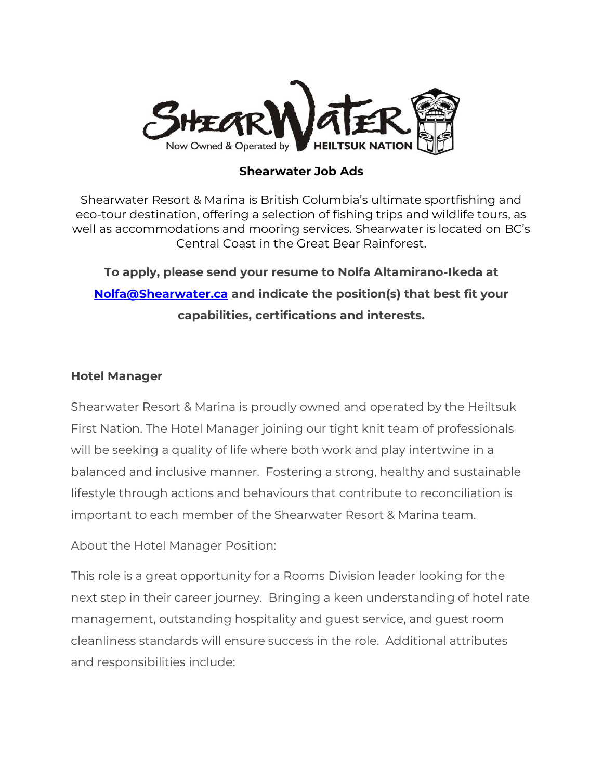

### **Shearwater Job Ads**

Shearwater Resort & Marina is British Columbia's ultimate sportfishing and eco-tour destination, offering a selection of fishing trips and wildlife tours, as well as accommodations and mooring services. Shearwater is located on BC's Central Coast in the Great Bear Rainforest.

**To apply, please send your resume to Nolfa Altamirano-Ikeda at [Nolfa@Shearwater.ca](mailto:Nolfa@Shearwater.ca) and indicate the position(s) that best fit your capabilities, certifications and interests.** 

### **Hotel Manager**

Shearwater Resort & Marina is proudly owned and operated by the Heiltsuk First Nation. The Hotel Manager joining our tight knit team of professionals will be seeking a quality of life where both work and play intertwine in a balanced and inclusive manner. Fostering a strong, healthy and sustainable lifestyle through actions and behaviours that contribute to reconciliation is important to each member of the Shearwater Resort & Marina team.

About the Hotel Manager Position:

This role is a great opportunity for a Rooms Division leader looking for the next step in their career journey. Bringing a keen understanding of hotel rate management, outstanding hospitality and guest service, and guest room cleanliness standards will ensure success in the role. Additional attributes and responsibilities include: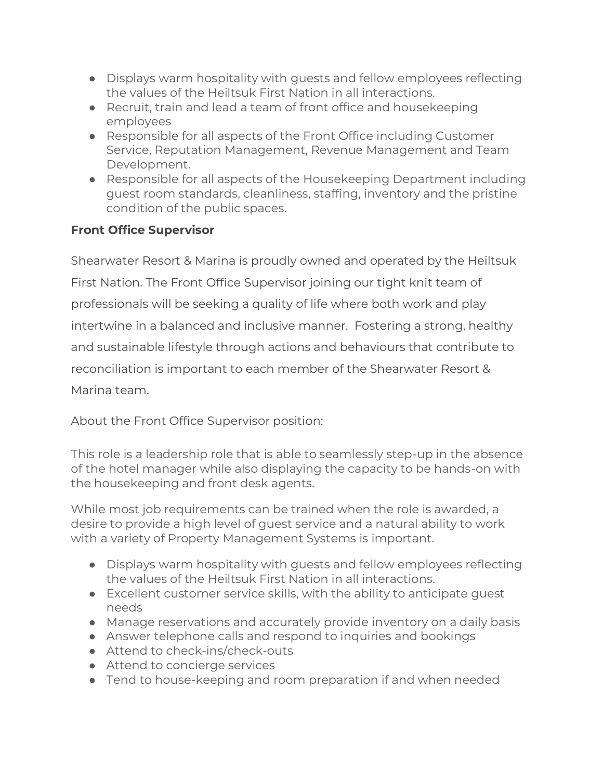- Displays warm hospitality with guests and fellow employees reflecting the values of the Heiltsuk First Nation in all interactions.
- Recruit, train and lead a team of front office and housekeeping employees
- Responsible for all aspects of the Front Office including Customer Service, Reputation Management, Revenue Management and Team Development.
- Responsible for all aspects of the Housekeeping Department including guest room standards, cleanliness, staffing, inventory and the pristine condition of the public spaces.

## **Front Office Supervisor**

Shearwater Resort & Marina is proudly owned and operated by the Heiltsuk First Nation. The Front Office Supervisor joining our tight knit team of professionals will be seeking a quality of life where both work and play intertwine in a balanced and inclusive manner. Fostering a strong, healthy and sustainable lifestyle through actions and behaviours that contribute to reconciliation is important to each member of the Shearwater Resort & Marina team.

About the Front Office Supervisor position:

This role is a leadership role that is able to seamlessly step-up in the absence of the hotel manager while also displaying the capacity to be hands-on with the housekeeping and front desk agents.

While most job requirements can be trained when the role is awarded, a desire to provide a high level of guest service and a natural ability to work with a variety of Property Management Systems is important.

- Displays warm hospitality with guests and fellow employees reflecting the values of the Heiltsuk First Nation in all interactions.
- Excellent customer service skills, with the ability to anticipate guest needs
- Manage reservations and accurately provide inventory on a daily basis
- Answer telephone calls and respond to inquiries and bookings
- Attend to check-ins/check-outs
- Attend to concierge services
- Tend to house-keeping and room preparation if and when needed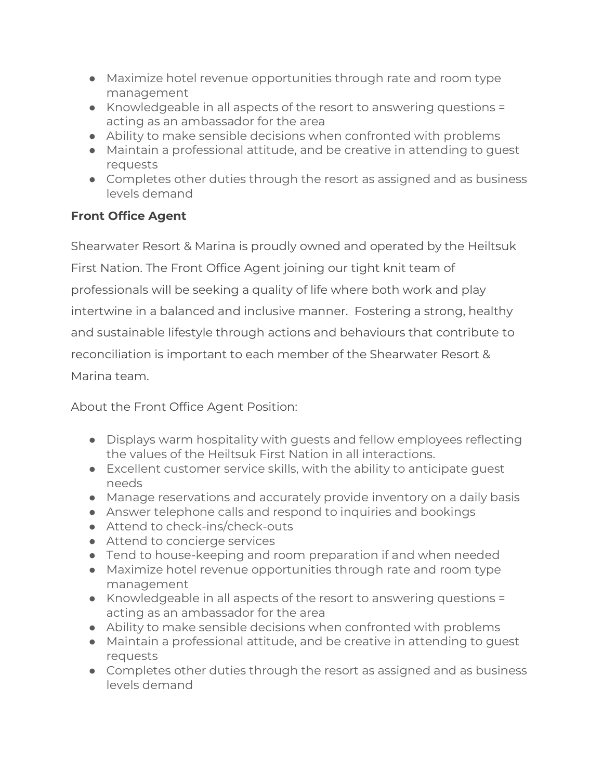- Maximize hotel revenue opportunities through rate and room type management
- Knowledgeable in all aspects of the resort to answering questions = acting as an ambassador for the area
- Ability to make sensible decisions when confronted with problems
- Maintain a professional attitude, and be creative in attending to guest requests
- Completes other duties through the resort as assigned and as business levels demand

## **Front Office Agent**

Shearwater Resort & Marina is proudly owned and operated by the Heiltsuk First Nation. The Front Office Agent joining our tight knit team of professionals will be seeking a quality of life where both work and play intertwine in a balanced and inclusive manner. Fostering a strong, healthy and sustainable lifestyle through actions and behaviours that contribute to reconciliation is important to each member of the Shearwater Resort & Marina team.

About the Front Office Agent Position:

- Displays warm hospitality with guests and fellow employees reflecting the values of the Heiltsuk First Nation in all interactions.
- Excellent customer service skills, with the ability to anticipate guest needs
- Manage reservations and accurately provide inventory on a daily basis
- Answer telephone calls and respond to inquiries and bookings
- Attend to check-ins/check-outs
- Attend to concierge services
- Tend to house-keeping and room preparation if and when needed
- Maximize hotel revenue opportunities through rate and room type management
- Knowledgeable in all aspects of the resort to answering questions = acting as an ambassador for the area
- Ability to make sensible decisions when confronted with problems
- Maintain a professional attitude, and be creative in attending to guest requests
- Completes other duties through the resort as assigned and as business levels demand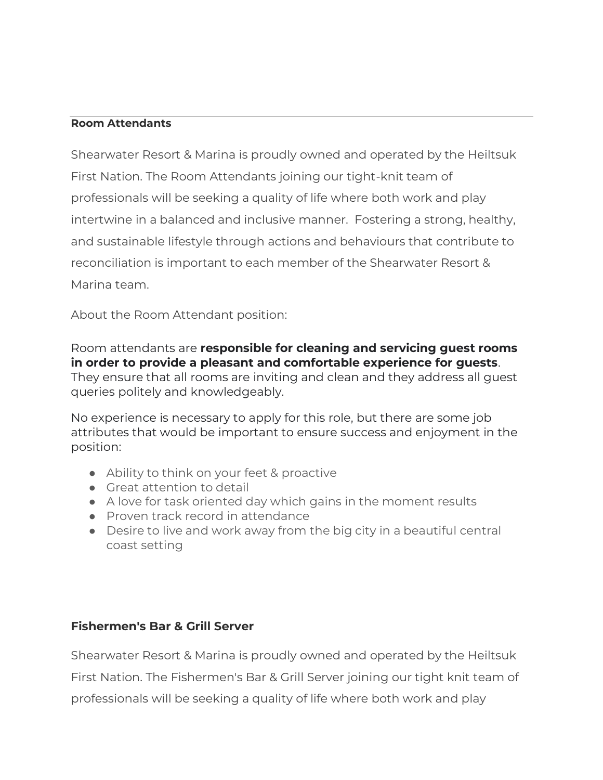#### **Room Attendants**

Shearwater Resort & Marina is proudly owned and operated by the Heiltsuk First Nation. The Room Attendants joining our tight-knit team of professionals will be seeking a quality of life where both work and play intertwine in a balanced and inclusive manner. Fostering a strong, healthy, and sustainable lifestyle through actions and behaviours that contribute to reconciliation is important to each member of the Shearwater Resort & Marina team.

About the Room Attendant position:

Room attendants are **responsible for cleaning and servicing guest rooms in order to provide a pleasant and comfortable experience for guests**. They ensure that all rooms are inviting and clean and they address all guest queries politely and knowledgeably.

No experience is necessary to apply for this role, but there are some job attributes that would be important to ensure success and enjoyment in the position:

- Ability to think on your feet & proactive
- Great attention to detail
- A love for task oriented day which gains in the moment results
- Proven track record in attendance
- Desire to live and work away from the big city in a beautiful central coast setting

### **Fishermen's Bar & Grill Server**

Shearwater Resort & Marina is proudly owned and operated by the Heiltsuk First Nation. The Fishermen's Bar & Grill Server joining our tight knit team of professionals will be seeking a quality of life where both work and play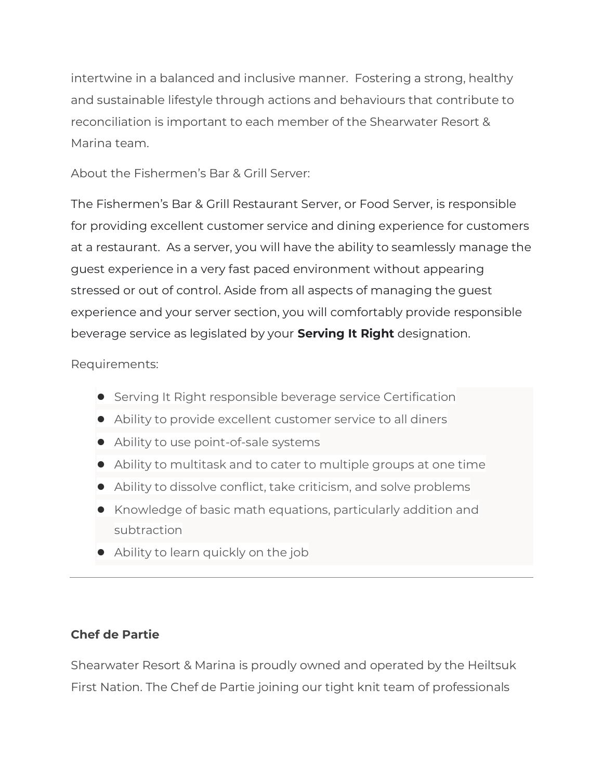intertwine in a balanced and inclusive manner. Fostering a strong, healthy and sustainable lifestyle through actions and behaviours that contribute to reconciliation is important to each member of the Shearwater Resort & Marina team.

About the Fishermen's Bar & Grill Server:

The Fishermen's Bar & Grill Restaurant Server, or Food Server, is responsible for providing excellent customer service and dining experience for customers at a restaurant. As a server, you will have the ability to seamlessly manage the guest experience in a very fast paced environment without appearing stressed or out of control. Aside from all aspects of managing the guest experience and your server section, you will comfortably provide responsible beverage service as legislated by your **Serving It Right** designation.

Requirements:

- Serving It Right responsible beverage service Certification
- Ability to provide excellent customer service to all diners
- Ability to use point-of-sale systems
- Ability to multitask and to cater to multiple groups at one time
- Ability to dissolve conflict, take criticism, and solve problems
- Knowledge of basic math equations, particularly addition and subtraction
- Ability to learn quickly on the job

# **Chef de Partie**

Shearwater Resort & Marina is proudly owned and operated by the Heiltsuk First Nation. The Chef de Partie joining our tight knit team of professionals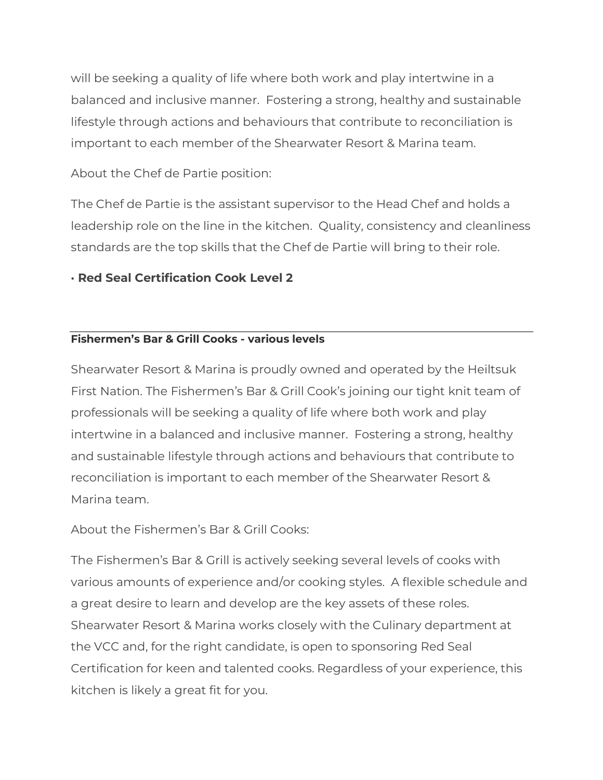will be seeking a quality of life where both work and play intertwine in a balanced and inclusive manner. Fostering a strong, healthy and sustainable lifestyle through actions and behaviours that contribute to reconciliation is important to each member of the Shearwater Resort & Marina team.

## About the Chef de Partie position:

The Chef de Partie is the assistant supervisor to the Head Chef and holds a leadership role on the line in the kitchen. Quality, consistency and cleanliness standards are the top skills that the Chef de Partie will bring to their role.

## **· Red Seal Certification Cook Level 2**

### **Fishermen's Bar & Grill Cooks - various levels**

Shearwater Resort & Marina is proudly owned and operated by the Heiltsuk First Nation. The Fishermen's Bar & Grill Cook's joining our tight knit team of professionals will be seeking a quality of life where both work and play intertwine in a balanced and inclusive manner. Fostering a strong, healthy and sustainable lifestyle through actions and behaviours that contribute to reconciliation is important to each member of the Shearwater Resort & Marina team.

About the Fishermen's Bar & Grill Cooks:

The Fishermen's Bar & Grill is actively seeking several levels of cooks with various amounts of experience and/or cooking styles. A flexible schedule and a great desire to learn and develop are the key assets of these roles. Shearwater Resort & Marina works closely with the Culinary department at the VCC and, for the right candidate, is open to sponsoring Red Seal Certification for keen and talented cooks. Regardless of your experience, this kitchen is likely a great fit for you.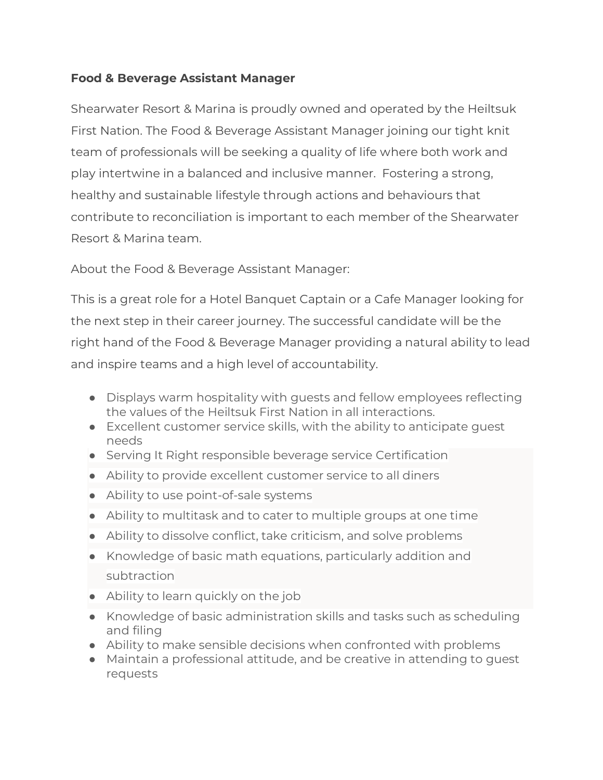## **Food & Beverage Assistant Manager**

Shearwater Resort & Marina is proudly owned and operated by the Heiltsuk First Nation. The Food & Beverage Assistant Manager joining our tight knit team of professionals will be seeking a quality of life where both work and play intertwine in a balanced and inclusive manner. Fostering a strong, healthy and sustainable lifestyle through actions and behaviours that contribute to reconciliation is important to each member of the Shearwater Resort & Marina team.

About the Food & Beverage Assistant Manager:

This is a great role for a Hotel Banquet Captain or a Cafe Manager looking for the next step in their career journey. The successful candidate will be the right hand of the Food & Beverage Manager providing a natural ability to lead and inspire teams and a high level of accountability.

- Displays warm hospitality with guests and fellow employees reflecting the values of the Heiltsuk First Nation in all interactions.
- Excellent customer service skills, with the ability to anticipate quest needs
- Serving It Right responsible beverage service Certification
- Ability to provide excellent customer service to all diners
- Ability to use point-of-sale systems
- Ability to multitask and to cater to multiple groups at one time
- Ability to dissolve conflict, take criticism, and solve problems
- Knowledge of basic math equations, particularly addition and subtraction
- Ability to learn quickly on the job
- Knowledge of basic administration skills and tasks such as scheduling and filing
- Ability to make sensible decisions when confronted with problems
- Maintain a professional attitude, and be creative in attending to guest requests